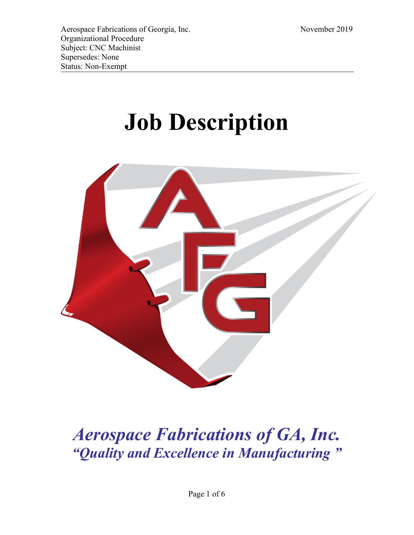# **Job Description**



# *Aerospace Fabrications of GA, Inc. "Quality and Excellence in Manufacturing "*

Page 1 of 6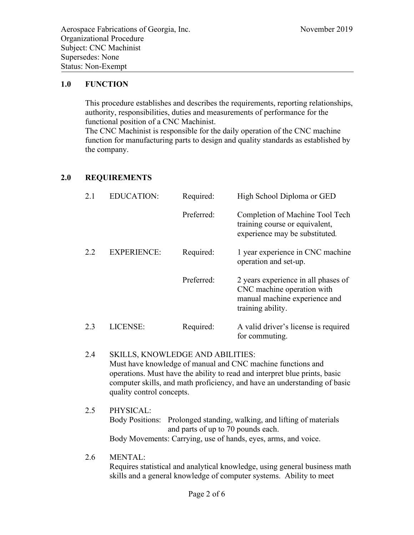#### **1.0 FUNCTION**

This procedure establishes and describes the requirements, reporting relationships, authority, responsibilities, duties and measurements of performance for the functional position of a CNC Machinist. The CNC Machinist is responsible for the daily operation of the CNC machine function for manufacturing parts to design and quality standards as established by the company.

#### **2.0 REQUIREMENTS**

| 2.1  | <b>EDUCATION:</b>  | Required:  | High School Diploma or GED                                                                                              |
|------|--------------------|------------|-------------------------------------------------------------------------------------------------------------------------|
|      |                    | Preferred: | Completion of Machine Tool Tech<br>training course or equivalent,<br>experience may be substituted.                     |
| 2.2. | <b>EXPERIENCE:</b> | Required:  | 1 year experience in CNC machine<br>operation and set-up.                                                               |
|      |                    | Preferred: | 2 years experience in all phases of<br>CNC machine operation with<br>manual machine experience and<br>training ability. |
| 2.3  | LICENSE:           | Required:  | A valid driver's license is required<br>for commuting.                                                                  |

- 2.4 SKILLS, KNOWLEDGE AND ABILITIES: Must have knowledge of manual and CNC machine functions and operations. Must have the ability to read and interpret blue prints, basic computer skills, and math proficiency, and have an understanding of basic quality control concepts.
- 2.5 PHYSICAL: Body Positions: Prolonged standing, walking, and lifting of materials and parts of up to 70 pounds each. Body Movements: Carrying, use of hands, eyes, arms, and voice.

2.6 MENTAL:

Requires statistical and analytical knowledge, using general business math skills and a general knowledge of computer systems. Ability to meet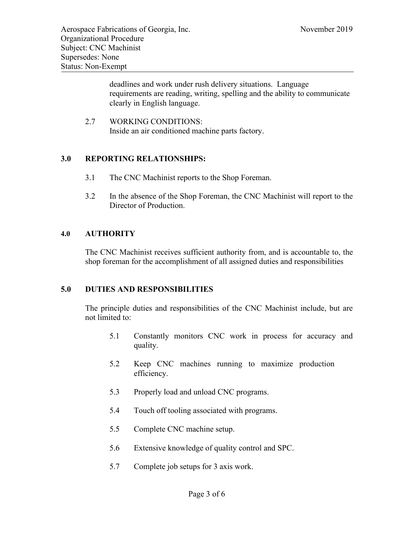deadlines and work under rush delivery situations. Language requirements are reading, writing, spelling and the ability to communicate clearly in English language.

2.7 WORKING CONDITIONS: Inside an air conditioned machine parts factory.

#### **3.0 REPORTING RELATIONSHIPS:**

- 3.1 The CNC Machinist reports to the Shop Foreman.
- 3.2 In the absence of the Shop Foreman, the CNC Machinist will report to the Director of Production.

#### **4.0 AUTHORITY**

The CNC Machinist receives sufficient authority from, and is accountable to, the shop foreman for the accomplishment of all assigned duties and responsibilities

#### **5.0 DUTIES AND RESPONSIBILITIES**

The principle duties and responsibilities of the CNC Machinist include, but are not limited to:

- 5.1 Constantly monitors CNC work in process for accuracy and quality.
- 5.2 Keep CNC machines running to maximize production efficiency.
- 5.3 Properly load and unload CNC programs.
- 5.4 Touch off tooling associated with programs.
- 5.5 Complete CNC machine setup.
- 5.6 Extensive knowledge of quality control and SPC.
- 5.7 Complete job setups for 3 axis work.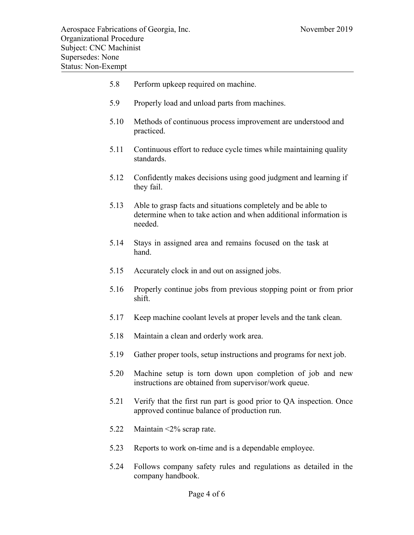| 5.8  | Perform upkeep required on machine.                                                                                                         |
|------|---------------------------------------------------------------------------------------------------------------------------------------------|
| 5.9  | Properly load and unload parts from machines.                                                                                               |
| 5.10 | Methods of continuous process improvement are understood and<br>practiced.                                                                  |
| 5.11 | Continuous effort to reduce cycle times while maintaining quality<br>standards.                                                             |
| 5.12 | Confidently makes decisions using good judgment and learning if<br>they fail.                                                               |
| 5.13 | Able to grasp facts and situations completely and be able to<br>determine when to take action and when additional information is<br>needed. |
| 5.14 | Stays in assigned area and remains focused on the task at<br>hand.                                                                          |
| 5.15 | Accurately clock in and out on assigned jobs.                                                                                               |
| 5.16 | Properly continue jobs from previous stopping point or from prior<br>shift.                                                                 |
| 5.17 | Keep machine coolant levels at proper levels and the tank clean.                                                                            |
| 5.18 | Maintain a clean and orderly work area.                                                                                                     |
| 5.19 | Gather proper tools, setup instructions and programs for next job.                                                                          |
| 5.20 | Machine setup is torn down upon completion of job and new<br>instructions are obtained from supervisor/work queue.                          |
| 5.21 | Verify that the first run part is good prior to QA inspection. Once<br>approved continue balance of production run.                         |
| 5.22 | Maintain $\leq 2\%$ scrap rate.                                                                                                             |
| 5.23 | Reports to work on-time and is a dependable employee.                                                                                       |
| 5.24 | Follows company safety rules and regulations as detailed in the<br>company handbook.                                                        |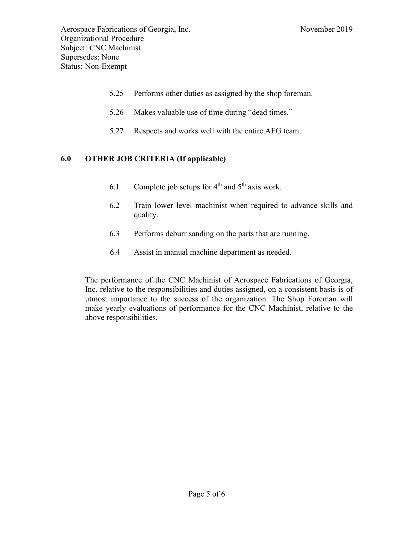- 5.25 Performs other duties as assigned by the shop foreman.
- 5.26 Makes valuable use of time during "dead times."
- 5.27 Respects and works well with the entire AFG team.

## **6.0 OTHER JOB CRITERIA (If applicable)**

- 6.1 Complete job setups for  $4<sup>th</sup>$  and  $5<sup>th</sup>$  axis work.
- 6.2 Train lower level machinist when required to advance skills and quality.
- 6.3 Performs deburr sanding on the parts that are running.
- 6.4 Assist in manual machine department as needed.

The performance of the CNC Machinist of Aerospace Fabrications of Georgia, Inc. relative to the responsibilities and duties assigned, on a consistent basis is of utmost importance to the success of the organization. The Shop Foreman will make yearly evaluations of performance for the CNC Machinist, relative to the above responsibilities.